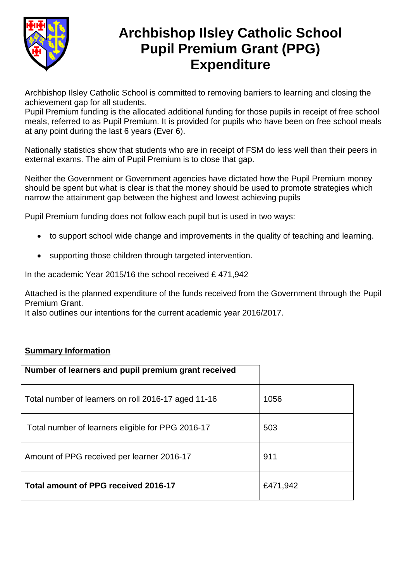

# **Archbishop Ilsley Catholic School Pupil Premium Grant (PPG) Expenditure**

Archbishop Ilsley Catholic School is committed to removing barriers to learning and closing the achievement gap for all students.

Pupil Premium funding is the allocated additional funding for those pupils in receipt of free school meals, referred to as Pupil Premium. It is provided for pupils who have been on free school meals at any point during the last 6 years (Ever 6).

Nationally statistics show that students who are in receipt of FSM do less well than their peers in external exams. The aim of Pupil Premium is to close that gap.

Neither the Government or Government agencies have dictated how the Pupil Premium money should be spent but what is clear is that the money should be used to promote strategies which narrow the attainment gap between the highest and lowest achieving pupils

Pupil Premium funding does not follow each pupil but is used in two ways:

- to support school wide change and improvements in the quality of teaching and learning.
- supporting those children through targeted intervention.

In the academic Year 2015/16 the school received £ 471,942

Attached is the planned expenditure of the funds received from the Government through the Pupil Premium Grant.

It also outlines our intentions for the current academic year 2016/2017.

#### **Summary Information**

| Number of learners and pupil premium grant received |          |
|-----------------------------------------------------|----------|
| Total number of learners on roll 2016-17 aged 11-16 | 1056     |
| Total number of learners eligible for PPG 2016-17   | 503      |
| Amount of PPG received per learner 2016-17          | 911      |
| Total amount of PPG received 2016-17                | £471,942 |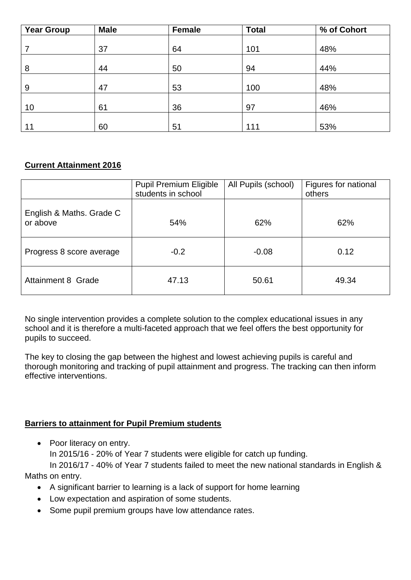| <b>Year Group</b> | <b>Male</b> | Female | <b>Total</b> | % of Cohort |
|-------------------|-------------|--------|--------------|-------------|
|                   |             |        |              |             |
|                   | 37          | 64     | 101          | 48%         |
|                   |             |        |              |             |
| 8                 | 44          | 50     | 94           | 44%         |
|                   |             |        |              |             |
| 9                 | 47          | 53     | 100          | 48%         |
|                   |             |        |              |             |
| 10                | 61          | 36     | 97           | 46%         |
|                   |             |        |              |             |
| 11                | 60          | 51     | 111          | 53%         |

# **Current Attainment 2016**

|                                      | <b>Pupil Premium Eligible</b><br>students in school | All Pupils (school) | Figures for national<br>others |
|--------------------------------------|-----------------------------------------------------|---------------------|--------------------------------|
| English & Maths. Grade C<br>or above | 54%                                                 | 62%                 | 62%                            |
| Progress 8 score average             | $-0.2$                                              | $-0.08$             | 0.12                           |
| <b>Attainment 8 Grade</b>            | 47.13                                               | 50.61               | 49.34                          |

No single intervention provides a complete solution to the complex educational issues in any school and it is therefore a multi-faceted approach that we feel offers the best opportunity for pupils to succeed.

The key to closing the gap between the highest and lowest achieving pupils is careful and thorough monitoring and tracking of pupil attainment and progress. The tracking can then inform effective interventions.

## **Barriers to attainment for Pupil Premium students**

• Poor literacy on entry. In 2015/16 - 20% of Year 7 students were eligible for catch up funding. In 2016/17 - 40% of Year 7 students failed to meet the new national standards in English &

Maths on entry.

- A significant barrier to learning is a lack of support for home learning
- Low expectation and aspiration of some students.
- Some pupil premium groups have low attendance rates.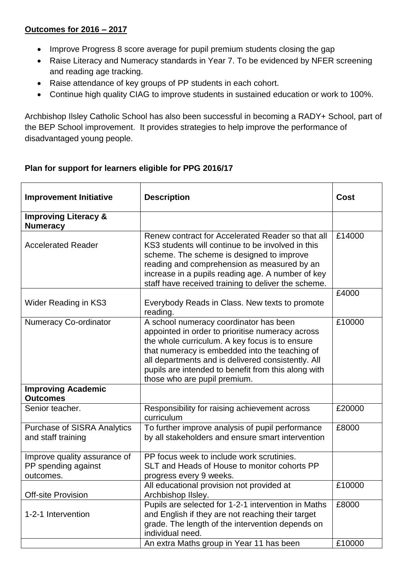## **Outcomes for 2016 – 2017**

- Improve Progress 8 score average for pupil premium students closing the gap
- Raise Literacy and Numeracy standards in Year 7. To be evidenced by NFER screening and reading age tracking.
- Raise attendance of key groups of PP students in each cohort.
- Continue high quality CIAG to improve students in sustained education or work to 100%.

Archbishop Ilsley Catholic School has also been successful in becoming a RADY+ School, part of the BEP School improvement. It provides strategies to help improve the performance of disadvantaged young people.

# **Plan for support for learners eligible for PPG 2016/17**

| <b>Improvement Initiative</b>                                    | <b>Description</b>                                                                                                                                                                                                                                                                                                                          | Cost   |
|------------------------------------------------------------------|---------------------------------------------------------------------------------------------------------------------------------------------------------------------------------------------------------------------------------------------------------------------------------------------------------------------------------------------|--------|
| <b>Improving Literacy &amp;</b><br><b>Numeracy</b>               |                                                                                                                                                                                                                                                                                                                                             |        |
| <b>Accelerated Reader</b>                                        | Renew contract for Accelerated Reader so that all<br>KS3 students will continue to be involved in this<br>scheme. The scheme is designed to improve<br>reading and comprehension as measured by an<br>increase in a pupils reading age. A number of key<br>staff have received training to deliver the scheme.                              | £14000 |
| Wider Reading in KS3                                             | Everybody Reads in Class. New texts to promote<br>reading.                                                                                                                                                                                                                                                                                  | £4000  |
| <b>Numeracy Co-ordinator</b>                                     | A school numeracy coordinator has been<br>appointed in order to prioritise numeracy across<br>the whole curriculum. A key focus is to ensure<br>that numeracy is embedded into the teaching of<br>all departments and is delivered consistently. All<br>pupils are intended to benefit from this along with<br>those who are pupil premium. | £10000 |
| <b>Improving Academic</b><br><b>Outcomes</b>                     |                                                                                                                                                                                                                                                                                                                                             |        |
| Senior teacher.                                                  | Responsibility for raising achievement across<br>curriculum                                                                                                                                                                                                                                                                                 | £20000 |
| <b>Purchase of SISRA Analytics</b><br>and staff training         | To further improve analysis of pupil performance<br>by all stakeholders and ensure smart intervention                                                                                                                                                                                                                                       | £8000  |
| Improve quality assurance of<br>PP spending against<br>outcomes. | PP focus week to include work scrutinies.<br>SLT and Heads of House to monitor cohorts PP<br>progress every 9 weeks.                                                                                                                                                                                                                        |        |
| <b>Off-site Provision</b>                                        | All educational provision not provided at<br>Archbishop IIsley.                                                                                                                                                                                                                                                                             | £10000 |
| 1-2-1 Intervention                                               | Pupils are selected for 1-2-1 intervention in Maths<br>and English if they are not reaching their target<br>grade. The length of the intervention depends on<br>individual need.                                                                                                                                                            | £8000  |
|                                                                  | An extra Maths group in Year 11 has been                                                                                                                                                                                                                                                                                                    | £10000 |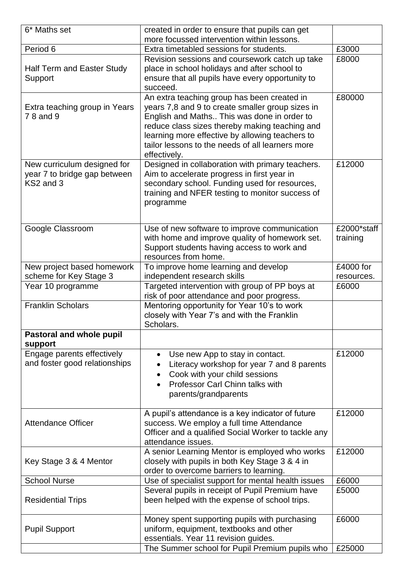| 6* Maths set                      | created in order to ensure that pupils can get      |                |
|-----------------------------------|-----------------------------------------------------|----------------|
|                                   | more focussed intervention within lessons.          |                |
| Period 6                          | Extra timetabled sessions for students.             | £3000          |
|                                   | Revision sessions and coursework catch up take      | £8000          |
| <b>Half Term and Easter Study</b> | place in school holidays and after school to        |                |
| Support                           | ensure that all pupils have every opportunity to    |                |
|                                   | succeed.                                            |                |
|                                   | An extra teaching group has been created in         | £80000         |
| Extra teaching group in Years     | years 7,8 and 9 to create smaller group sizes in    |                |
| 78 and 9                          | English and Maths This was done in order to         |                |
|                                   | reduce class sizes thereby making teaching and      |                |
|                                   | learning more effective by allowing teachers to     |                |
|                                   | tailor lessons to the needs of all learners more    |                |
|                                   | effectively.                                        |                |
| New curriculum designed for       | Designed in collaboration with primary teachers.    | £12000         |
| year 7 to bridge gap between      | Aim to accelerate progress in first year in         |                |
| KS2 and 3                         | secondary school. Funding used for resources,       |                |
|                                   | training and NFER testing to monitor success of     |                |
|                                   | programme                                           |                |
|                                   |                                                     |                |
| Google Classroom                  | Use of new software to improve communication        | £2000*staff    |
|                                   | with home and improve quality of homework set.      | training       |
|                                   | Support students having access to work and          |                |
|                                   | resources from home.                                |                |
| New project based homework        | To improve home learning and develop                | £4000 for      |
| scheme for Key Stage 3            | independent research skills                         | resources.     |
| Year 10 programme                 | Targeted intervention with group of PP boys at      | £6000          |
|                                   | risk of poor attendance and poor progress.          |                |
| <b>Franklin Scholars</b>          | Mentoring opportunity for Year 10's to work         |                |
|                                   | closely with Year 7's and with the Franklin         |                |
|                                   | Scholars.                                           |                |
| Pastoral and whole pupil          |                                                     |                |
| support                           |                                                     |                |
| Engage parents effectively        | Use new App to stay in contact.<br>$\bullet$        | £12000         |
| and foster good relationships     | Literacy workshop for year 7 and 8 parents          |                |
|                                   | Cook with your child sessions<br>$\bullet$          |                |
|                                   | Professor Carl Chinn talks with                     |                |
|                                   | parents/grandparents                                |                |
|                                   |                                                     |                |
|                                   | A pupil's attendance is a key indicator of future   | £12000         |
| <b>Attendance Officer</b>         | success. We employ a full time Attendance           |                |
|                                   | Officer and a qualified Social Worker to tackle any |                |
|                                   | attendance issues.                                  |                |
|                                   | A senior Learning Mentor is employed who works      | £12000         |
| Key Stage 3 & 4 Mentor            | closely with pupils in both Key Stage 3 & 4 in      |                |
|                                   | order to overcome barriers to learning.             |                |
| <b>School Nurse</b>               | Use of specialist support for mental health issues  | £6000<br>£5000 |
|                                   | Several pupils in receipt of Pupil Premium have     |                |
| <b>Residential Trips</b>          | been helped with the expense of school trips.       |                |
|                                   | Money spent supporting pupils with purchasing       | £6000          |
| <b>Pupil Support</b>              | uniform, equipment, textbooks and other             |                |
|                                   | essentials. Year 11 revision guides.                |                |
|                                   | The Summer school for Pupil Premium pupils who      | £25000         |
|                                   |                                                     |                |